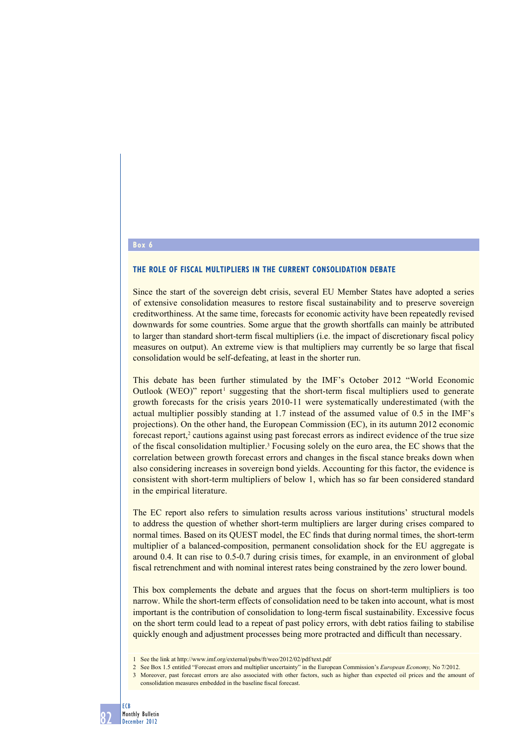#### **Box 6**

#### **The role of fiscal multipliers in the current consolidation debate**

Since the start of the sovereign debt crisis, several EU Member States have adopted a series of extensive consolidation measures to restore fiscal sustainability and to preserve sovereign creditworthiness. At the same time, forecasts for economic activity have been repeatedly revised downwards for some countries. Some argue that the growth shortfalls can mainly be attributed to larger than standard short-term fiscal multipliers (i.e. the impact of discretionary fiscal policy measures on output). An extreme view is that multipliers may currently be so large that fiscal consolidation would be self-defeating, at least in the shorter run.

This debate has been further stimulated by the IMF's October 2012 "World Economic Outlook (WEO)" report<sup>1</sup> suggesting that the short-term fiscal multipliers used to generate growth forecasts for the crisis years 2010-11 were systematically underestimated (with the actual multiplier possibly standing at 1.7 instead of the assumed value of 0.5 in the IMF's projections). On the other hand, the European Commission (EC), in its autumn 2012 economic forecast report,<sup>2</sup> cautions against using past forecast errors as indirect evidence of the true size of the fiscal consolidation multiplier.<sup>3</sup> Focusing solely on the euro area, the EC shows that the correlation between growth forecast errors and changes in the fiscal stance breaks down when also considering increases in sovereign bond yields. Accounting for this factor, the evidence is consistent with short-term multipliers of below 1, which has so far been considered standard in the empirical literature.

The EC report also refers to simulation results across various institutions' structural models to address the question of whether short-term multipliers are larger during crises compared to normal times. Based on its QUEST model, the EC finds that during normal times, the short-term multiplier of a balanced-composition, permanent consolidation shock for the EU aggregate is around 0.4. It can rise to 0.5-0.7 during crisis times, for example, in an environment of global fiscal retrenchment and with nominal interest rates being constrained by the zero lower bound.

This box complements the debate and argues that the focus on short-term multipliers is too narrow. While the short-term effects of consolidation need to be taken into account, what is most important is the contribution of consolidation to long-term fiscal sustainability. Excessive focus on the short term could lead to a repeat of past policy errors, with debt ratios failing to stabilise quickly enough and adjustment processes being more protracted and difficult than necessary.

- 1 See the link at http://www.imf.org/external/pubs/ft/weo/2012/02/pdf/text.pdf
- 2 See Box 1.5 entitled "Forecast errors and multiplier uncertainty" in the European Commission's *European Economy,* No 7/2012.
- 3 Moreover, past forecast errors are also associated with other factors, such as higher than expected oil prices and the amount of consolidation measures embedded in the baseline fiscal forecast.

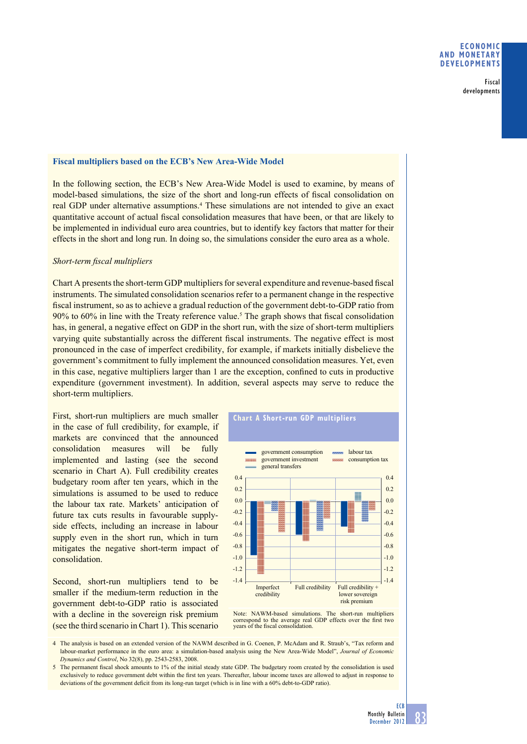Fiscal developments

### **Fiscal multipliers based on the ECB's New Area-Wide Model**

In the following section, the ECB's New Area-Wide Model is used to examine, by means of model-based simulations, the size of the short and long-run effects of fiscal consolidation on real GDP under alternative assumptions.<sup>4</sup> These simulations are not intended to give an exact quantitative account of actual fiscal consolidation measures that have been, or that are likely to be implemented in individual euro area countries, but to identify key factors that matter for their effects in the short and long run. In doing so, the simulations consider the euro area as a whole.

#### *Short-term fi scal multipliers*

Chart A presents the short-term GDP multipliers for several expenditure and revenue-based fiscal instruments. The simulated consolidation scenarios refer to a permanent change in the respective fiscal instrument, so as to achieve a gradual reduction of the government debt-to-GDP ratio from 90% to 60% in line with the Treaty reference value.<sup>5</sup> The graph shows that fiscal consolidation has, in general, a negative effect on GDP in the short run, with the size of short-term multipliers varying quite substantially across the different fiscal instruments. The negative effect is most pronounced in the case of imperfect credibility, for example, if markets initially disbelieve the government's commitment to fully implement the announced consolidation measures. Yet, even in this case, negative multipliers larger than 1 are the exception, confined to cuts in productive expenditure (government investment). In addition, several aspects may serve to reduce the short-term multipliers.

First, short-run multipliers are much smaller in the case of full credibility, for example, if markets are convinced that the announced consolidation measures will be fully implemented and lasting (see the second scenario in Chart A). Full credibility creates budgetary room after ten years, which in the simulations is assumed to be used to reduce the labour tax rate. Markets' anticipation of future tax cuts results in favourable supplyside effects, including an increase in labour supply even in the short run, which in turn mitigates the negative short-term impact of consolidation.

Second, short-run multipliers tend to be smaller if the medium-term reduction in the government debt-to-GDP ratio is associated with a decline in the sovereign risk premium (see the third scenario in Chart 1). This scenario



**chart a Short-run GDP multipliers**

Note: NAWM-based simulations. The short-run multipliers correspond to the average real GDP effects over the first two years of the fiscal consolidation.

4 The analysis is based on an extended version of the NAWM described in G. Coenen, P. McAdam and R. Straub's, "Tax reform and labour-market performance in the euro area: a simulation-based analysis using the New Area-Wide Model", *Journal of Economic Dynamics and Control*, No 32(8), pp. 2543-2583, 2008.

5 The permanent fiscal shock amounts to 1% of the initial steady state GDP. The budgetary room created by the consolidation is used exclusively to reduce government debt within the first ten years. Thereafter, labour income taxes are allowed to adjust in response to deviations of the government deficit from its long-run target (which is in line with a 60% debt-to-GDP ratio).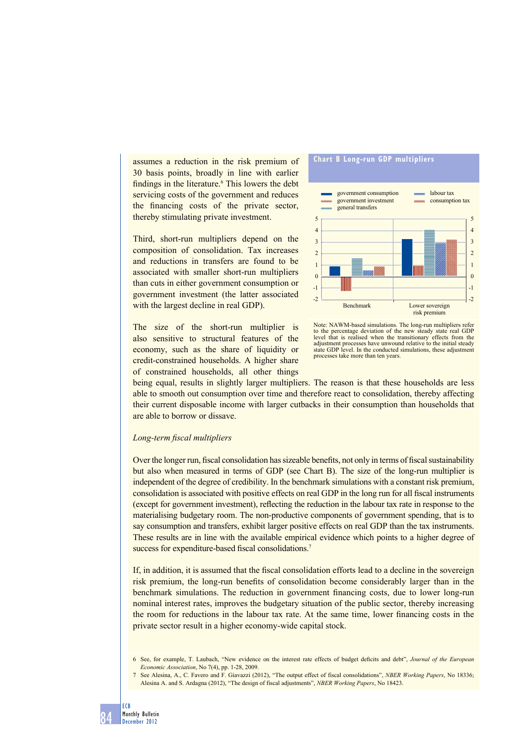assumes a reduction in the risk premium of 30 basis points, broadly in line with earlier findings in the literature.<sup>6</sup> This lowers the debt servicing costs of the government and reduces the financing costs of the private sector, thereby stimulating private investment.

Third, short-run multipliers depend on the composition of consolidation. Tax increases and reductions in transfers are found to be associated with smaller short-run multipliers than cuts in either government consumption or government investment (the latter associated with the largest decline in real GDP).

The size of the short-run multiplier is also sensitive to structural features of the economy, such as the share of liquidity or credit-constrained households. A higher share of constrained households, all other things



Note: NAWM-based simulations. The long-run multipliers refer to the percentage deviation of the new steady state real GDP level that is realised when the transitionary effects from the adjustment processes have unwound relative to the initial steady state GDP level. In the conducted simulations, these adjustment processes take more than ten years.

being equal, results in slightly larger multipliers. The reason is that these households are less able to smooth out consumption over time and therefore react to consolidation, thereby affecting their current disposable income with larger cutbacks in their consumption than households that are able to borrow or dissave.

#### *Long-term fi scal multipliers*

Over the longer run, fiscal consolidation has sizeable benefits, not only in terms of fiscal sustainability but also when measured in terms of GDP (see Chart B). The size of the long-run multiplier is independent of the degree of credibility. In the benchmark simulations with a constant risk premium, consolidation is associated with positive effects on real GDP in the long run for all fiscal instruments (except for government investment), reflecting the reduction in the labour tax rate in response to the materialising budgetary room. The non-productive components of government spending, that is to say consumption and transfers, exhibit larger positive effects on real GDP than the tax instruments. These results are in line with the available empirical evidence which points to a higher degree of success for expenditure-based fiscal consolidations.<sup>7</sup>

If, in addition, it is assumed that the fiscal consolidation efforts lead to a decline in the sovereign risk premium, the long-run benefits of consolidation become considerably larger than in the benchmark simulations. The reduction in government financing costs, due to lower long-run nominal interest rates, improves the budgetary situation of the public sector, thereby increasing the room for reductions in the labour tax rate. At the same time, lower financing costs in the private sector result in a higher economy-wide capital stock.

<sup>7</sup> See Alesina, A., C. Favero and F. Giavazzi (2012), "The output effect of fiscal consolidations", *NBER Working Papers*, No 18336; Alesina A. and S. Ardagna (2012), "The design of fiscal adjustments", *NBER Working Papers*, No 18423.



<sup>6</sup> See, for example, T. Laubach, "New evidence on the interest rate effects of budget deficits and debt", *Journal of the European Economic Association*, No 7(4), pp. 1-28, 2009.